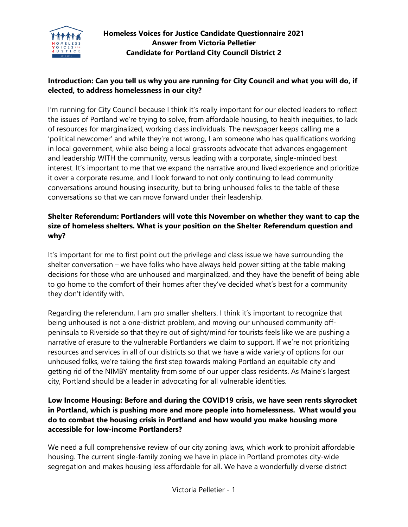

# **Homeless Voices for Justice Candidate Questionnaire 2021 Answer from Victoria Pelletier Candidate for Portland City Council District 2**

## **Introduction: Can you tell us why you are running for City Council and what you will do, if elected, to address homelessness in our city?**

I'm running for City Council because I think it's really important for our elected leaders to reflect the issues of Portland we're trying to solve, from affordable housing, to health inequities, to lack of resources for marginalized, working class individuals. The newspaper keeps calling me a 'political newcomer' and while they're not wrong, I am someone who has qualifications working in local government, while also being a local grassroots advocate that advances engagement and leadership WITH the community, versus leading with a corporate, single-minded best interest. It's important to me that we expand the narrative around lived experience and prioritize it over a corporate resume, and I look forward to not only continuing to lead community conversations around housing insecurity, but to bring unhoused folks to the table of these conversations so that we can move forward under their leadership.

## **Shelter Referendum: Portlanders will vote this November on whether they want to cap the size of homeless shelters. What is your position on the Shelter Referendum question and why?**

It's important for me to first point out the privilege and class issue we have surrounding the shelter conversation – we have folks who have always held power sitting at the table making decisions for those who are unhoused and marginalized, and they have the benefit of being able to go home to the comfort of their homes after they've decided what's best for a community they don't identify with.

Regarding the referendum, I am pro smaller shelters. I think it's important to recognize that being unhoused is not a one-district problem, and moving our unhoused community offpeninsula to Riverside so that they're out of sight/mind for tourists feels like we are pushing a narrative of erasure to the vulnerable Portlanders we claim to support. If we're not prioritizing resources and services in all of our districts so that we have a wide variety of options for our unhoused folks, we're taking the first step towards making Portland an equitable city and getting rid of the NIMBY mentality from some of our upper class residents. As Maine's largest city, Portland should be a leader in advocating for all vulnerable identities.

## **Low Income Housing: Before and during the COVID19 crisis, we have seen rents skyrocket in Portland, which is pushing more and more people into homelessness. What would you do to combat the housing crisis in Portland and how would you make housing more accessible for low-income Portlanders?**

We need a full comprehensive review of our city zoning laws, which work to prohibit affordable housing. The current single-family zoning we have in place in Portland promotes city-wide segregation and makes housing less affordable for all. We have a wonderfully diverse district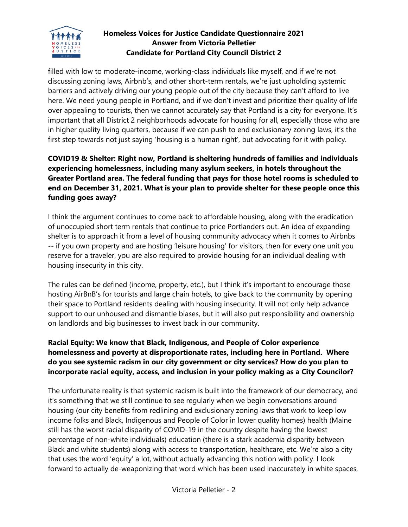

## **Homeless Voices for Justice Candidate Questionnaire 2021 Answer from Victoria Pelletier Candidate for Portland City Council District 2**

filled with low to moderate-income, working-class individuals like myself, and if we're not discussing zoning laws, Airbnb's, and other short-term rentals, we're just upholding systemic barriers and actively driving our young people out of the city because they can't afford to live here. We need young people in Portland, and if we don't invest and prioritize their quality of life over appealing to tourists, then we cannot accurately say that Portland is a city for everyone. It's important that all District 2 neighborhoods advocate for housing for all, especially those who are in higher quality living quarters, because if we can push to end exclusionary zoning laws, it's the first step towards not just saying 'housing is a human right', but advocating for it with policy.

# **COVID19 & Shelter: Right now, Portland is sheltering hundreds of families and individuals experiencing homelessness, including many asylum seekers, in hotels throughout the Greater Portland area. The federal funding that pays for those hotel rooms is scheduled to end on December 31, 2021. What is your plan to provide shelter for these people once this funding goes away?**

I think the argument continues to come back to affordable housing, along with the eradication of unoccupied short term rentals that continue to price Portlanders out. An idea of expanding shelter is to approach it from a level of housing community advocacy when it comes to Airbnbs -- if you own property and are hosting 'leisure housing' for visitors, then for every one unit you reserve for a traveler, you are also required to provide housing for an individual dealing with housing insecurity in this city.

The rules can be defined (income, property, etc.), but I think it's important to encourage those hosting AirBnB's for tourists and large chain hotels, to give back to the community by opening their space to Portland residents dealing with housing insecurity. It will not only help advance support to our unhoused and dismantle biases, but it will also put responsibility and ownership on landlords and big businesses to invest back in our community.

## **Racial Equity: We know that Black, Indigenous, and People of Color experience homelessness and poverty at disproportionate rates, including here in Portland. Where do you see systemic racism in our city government or city services? How do you plan to incorporate racial equity, access, and inclusion in your policy making as a City Councilor?**

The unfortunate reality is that systemic racism is built into the framework of our democracy, and it's something that we still continue to see regularly when we begin conversations around housing (our city benefits from redlining and exclusionary zoning laws that work to keep low income folks and Black, Indigenous and People of Color in lower quality homes) health (Maine still has the worst racial disparity of COVID-19 in the country despite having the lowest percentage of non-white individuals) education (there is a stark academia disparity between Black and white students) along with access to transportation, healthcare, etc. We're also a city that uses the word 'equity' a lot, without actually advancing this notion with policy. I look forward to actually de-weaponizing that word which has been used inaccurately in white spaces,